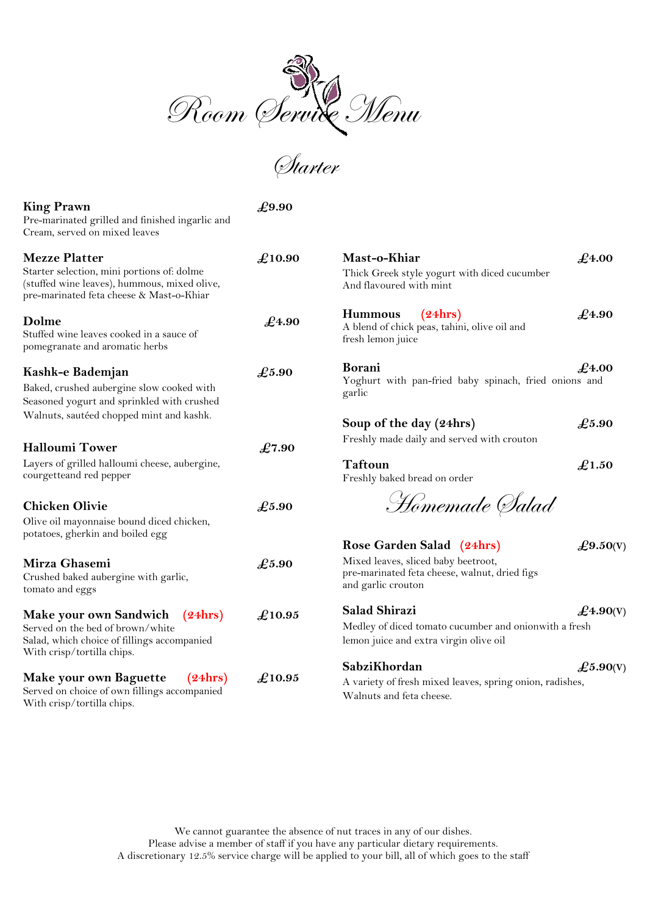

Starter

# **King Prawn**  $\mathcal{L}9.90$

| Pre-marinated grilled and finished ingarlic and |
|-------------------------------------------------|
| Cream, served on mixed leaves                   |

| <b>Mezze Platter</b>                                                                                                                               | £10.90         | Mast-o-Khiar                                                                                                                                 | $\pounds$ 4.00 |
|----------------------------------------------------------------------------------------------------------------------------------------------------|----------------|----------------------------------------------------------------------------------------------------------------------------------------------|----------------|
| Starter selection, mini portions of: dolme<br>(stuffed wine leaves), hummous, mixed olive,<br>pre-marinated feta cheese & Mast-o-Khiar             |                | Thick Greek style yogurt with diced cucumber<br>And flavoured with mint                                                                      |                |
| Dolme<br>Stuffed wine leaves cooked in a sauce of<br>pomegranate and aromatic herbs                                                                | $\pounds$ 4.90 | (24hrs)<br><b>Hummous</b><br>A blend of chick peas, tahini, olive oil and<br>fresh lemon juice                                               | $\pounds$ 4.90 |
| Kashk-e Bademjan<br>Baked, crushed aubergine slow cooked with<br>Seasoned yogurt and sprinkled with crushed                                        | $\pounds$ 5.90 | Borani<br>$\pounds$ 4.00<br>Yoghurt with pan-fried baby spinach, fried onions and<br>garlic                                                  |                |
| Walnuts, sautéed chopped mint and kashk.<br><b>Halloumi Tower</b>                                                                                  | £7.90          | Soup of the day (24hrs)<br>Freshly made daily and served with crouton                                                                        | $\pounds$ 5.90 |
| Layers of grilled halloumi cheese, aubergine,<br>courgetteand red pepper                                                                           |                | <b>Taftoun</b><br>Freshly baked bread on order                                                                                               | £1.50          |
| <b>Chicken Olivie</b><br>Olive oil mayonnaise bound diced chicken,<br>potatoes, gherkin and boiled egg                                             | $\pounds$ 5.90 | Homemade Salad                                                                                                                               |                |
|                                                                                                                                                    |                | Rose Garden Salad (24hrs)                                                                                                                    | £9.50(V)       |
| Mirza Ghasemi<br>Crushed baked aubergine with garlic,<br>tomato and eggs                                                                           | $\pounds$ 5.90 | Mixed leaves, sliced baby beetroot,<br>pre-marinated feta cheese, walnut, dried figs<br>and garlic crouton                                   |                |
| Make your own Sandwich<br>(24hrs)<br>Served on the bed of brown/white<br>Salad, which choice of fillings accompanied<br>With crisp/tortilla chips. | £10.95         | <b>Salad Shirazi</b><br>$\pounds$ 4.90(V)<br>Medley of diced tomato cucumber and onionwith a fresh<br>lemon juice and extra virgin olive oil |                |
| Make your own Baguette<br>(24hrs)<br>Served on choice of own fillings accompanied<br>With crisp/tortilla chips.                                    | £10.95         | SabziKhordan<br>£5.90(V)<br>A variety of fresh mixed leaves, spring onion, radishes,<br>Walnuts and feta cheese.                             |                |